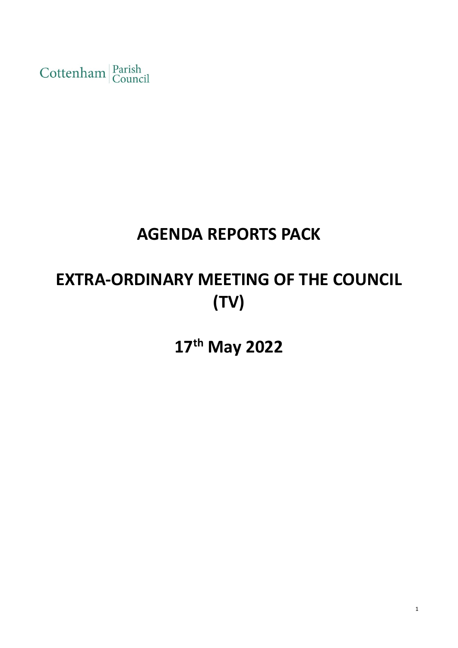Cottenham Parish

## **AGENDA REPORTS PACK**

## **EXTRA-ORDINARY MEETING OF THE COUNCIL (TV)**

**17th May 2022**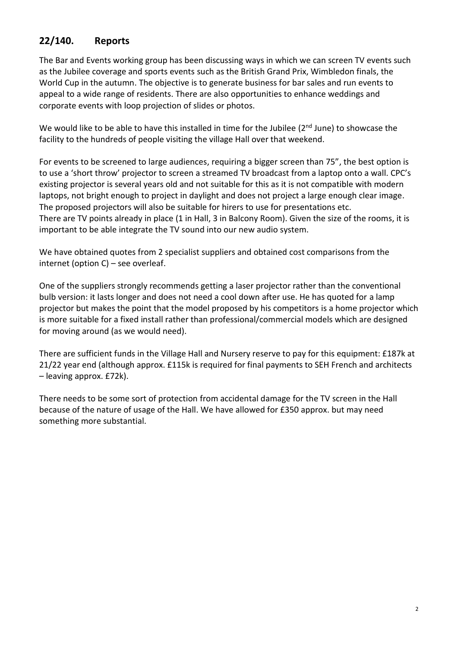## **22/140. Reports**

The Bar and Events working group has been discussing ways in which we can screen TV events such as the Jubilee coverage and sports events such as the British Grand Prix, Wimbledon finals, the World Cup in the autumn. The objective is to generate business for bar sales and run events to appeal to a wide range of residents. There are also opportunities to enhance weddings and corporate events with loop projection of slides or photos.

We would like to be able to have this installed in time for the Jubilee ( $2<sup>nd</sup>$  June) to showcase the facility to the hundreds of people visiting the village Hall over that weekend.

For events to be screened to large audiences, requiring a bigger screen than 75", the best option is to use a 'short throw' projector to screen a streamed TV broadcast from a laptop onto a wall. CPC's existing projector is several years old and not suitable for this as it is not compatible with modern laptops, not bright enough to project in daylight and does not project a large enough clear image. The proposed projectors will also be suitable for hirers to use for presentations etc. There are TV points already in place (1 in Hall, 3 in Balcony Room). Given the size of the rooms, it is important to be able integrate the TV sound into our new audio system.

We have obtained quotes from 2 specialist suppliers and obtained cost comparisons from the internet (option C) – see overleaf.

One of the suppliers strongly recommends getting a laser projector rather than the conventional bulb version: it lasts longer and does not need a cool down after use. He has quoted for a lamp projector but makes the point that the model proposed by his competitors is a home projector which is more suitable for a fixed install rather than professional/commercial models which are designed for moving around (as we would need).

There are sufficient funds in the Village Hall and Nursery reserve to pay for this equipment: £187k at 21/22 year end (although approx. £115k is required for final payments to SEH French and architects – leaving approx. £72k).

There needs to be some sort of protection from accidental damage for the TV screen in the Hall because of the nature of usage of the Hall. We have allowed for £350 approx. but may need something more substantial.